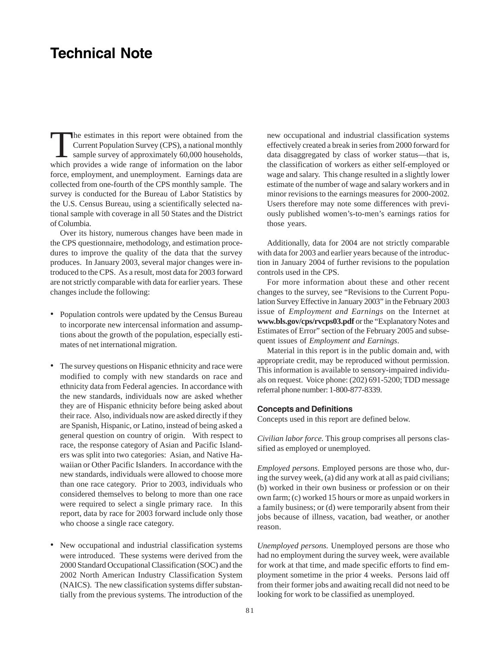## **Technical Note**

The estimates in this report were obtained from the<br>Current Population Survey (CPS), a national monthly<br>sample survey of approximately 60,000 households, Current Population Survey (CPS), a national monthly sample survey of approximately 60,000 households, which provides a wide range of information on the labor force, employment, and unemployment. Earnings data are collected from one-fourth of the CPS monthly sample. The survey is conducted for the Bureau of Labor Statistics by the U.S. Census Bureau, using a scientifically selected national sample with coverage in all 50 States and the District of Columbia.

Over its history, numerous changes have been made in the CPS questionnaire, methodology, and estimation procedures to improve the quality of the data that the survey produces. In January 2003, several major changes were introduced to the CPS. As a result, most data for 2003 forward are not strictly comparable with data for earlier years. These changes include the following:

- Population controls were updated by the Census Bureau to incorporate new intercensal information and assumptions about the growth of the population, especially estimates of net international migration.
- The survey questions on Hispanic ethnicity and race were modified to comply with new standards on race and ethnicity data from Federal agencies. In accordance with the new standards, individuals now are asked whether they are of Hispanic ethnicity before being asked about their race. Also, individuals now are asked directly if they are Spanish, Hispanic, or Latino, instead of being asked a general question on country of origin. With respect to race, the response category of Asian and Pacific Islanders was split into two categories: Asian, and Native Hawaiian or Other Pacific Islanders. In accordance with the new standards, individuals were allowed to choose more than one race category. Prior to 2003, individuals who considered themselves to belong to more than one race were required to select a single primary race. In this report, data by race for 2003 forward include only those who choose a single race category.
- New occupational and industrial classification systems were introduced. These systems were derived from the 2000 Standard Occupational Classification (SOC) and the 2002 North American Industry Classification System (NAICS). The new classification systems differ substantially from the previous systems. The introduction of the

new occupational and industrial classification systems effectively created a break in series from 2000 forward for data disaggregated by class of worker status—that is, the classification of workers as either self-employed or wage and salary. This change resulted in a slightly lower estimate of the number of wage and salary workers and in minor revisions to the earnings measures for 2000-2002. Users therefore may note some differences with previously published women's-to-men's earnings ratios for those years.

Additionally, data for 2004 are not strictly comparable with data for 2003 and earlier years because of the introduction in January 2004 of further revisions to the population controls used in the CPS.

For more information about these and other recent changes to the survey, see "Revisions to the Current Population Survey Effective in January 2003" in the February 2003 issue of *Employment and Earnings* on the Internet at **www.bls.gov/cps/rvcps03.pdf** or the "Explanatory Notes and Estimates of Error" section of the February 2005 and subsequent issues of *Employment and Earnings*.

Material in this report is in the public domain and, with appropriate credit, may be reproduced without permission. This information is available to sensory-impaired individuals on request. Voice phone: (202) 691-5200; TDD message referral phone number: 1-800-877-8339.

## **Concepts and Definitions**

Concepts used in this report are defined below.

*Civilian labor force.* This group comprises all persons classified as employed or unemployed.

*Employed persons.* Employed persons are those who, during the survey week, (a) did any work at all as paid civilians; (b) worked in their own business or profession or on their own farm; (c) worked 15 hours or more as unpaid workers in a family business; or (d) were temporarily absent from their jobs because of illness, vacation, bad weather, or another reason.

*Unemployed persons.* Unemployed persons are those who had no employment during the survey week, were available for work at that time, and made specific efforts to find employment sometime in the prior 4 weeks. Persons laid off from their former jobs and awaiting recall did not need to be looking for work to be classified as unemployed.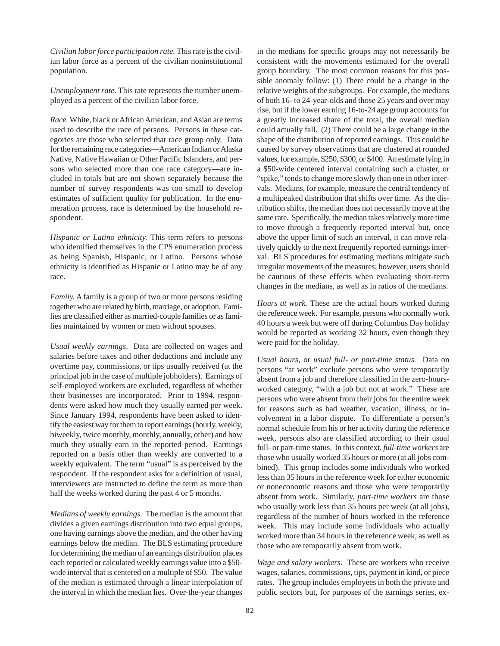*Civilian labor force participation rate.* This rate is the civilian labor force as a percent of the civilian noninstitutional population.

*Unemployment rate.* This rate represents the number unemployed as a percent of the civilian labor force.

*Race.* White, black or African American, and Asian are terms used to describe the race of persons. Persons in these categories are those who selected that race group only. Data for the remaining race categories—American Indian or Alaska Native, Native Hawaiian or Other Pacific Islanders, and persons who selected more than one race category—are included in totals but are not shown separately because the number of survey respondents was too small to develop estimates of sufficient quality for publication. In the enumeration process, race is determined by the household respondent.

*Hispanic or Latino ethnicity.* This term refers to persons who identified themselves in the CPS enumeration process as being Spanish, Hispanic, or Latino. Persons whose ethnicity is identified as Hispanic or Latino may be of any race.

*Family.* A family is a group of two or more persons residing together who are related by birth, marriage, or adoption. Families are classified either as married-couple families or as families maintained by women or men without spouses.

*Usual weekly earnings*. Data are collected on wages and salaries before taxes and other deductions and include any overtime pay, commissions, or tips usually received (at the principal job in the case of multiple jobholders). Earnings of self-employed workers are excluded, regardless of whether their businesses are incorporated. Prior to 1994, respondents were asked how much they usually earned per week. Since January 1994, respondents have been asked to identify the easiest way for them to report earnings (hourly, weekly, biweekly, twice monthly, monthly, annually, other) and how much they usually earn in the reported period. Earnings reported on a basis other than weekly are converted to a weekly equivalent. The term "usual" is as perceived by the respondent. If the respondent asks for a definition of usual, interviewers are instructed to define the term as more than half the weeks worked during the past 4 or 5 months.

*Medians of weekly earnings.* The median is the amount that divides a given earnings distribution into two equal groups, one having earnings above the median, and the other having earnings below the median. The BLS estimating procedure for determining the median of an earnings distribution places each reported or calculated weekly earnings value into a \$50 wide interval that is centered on a multiple of \$50. The value of the median is estimated through a linear interpolation of the interval in which the median lies. Over-the-year changes

in the medians for specific groups may not necessarily be consistent with the movements estimated for the overall group boundary. The most common reasons for this possible anomaly follow: (1) There could be a change in the relative weights of the subgroups. For example, the medians of both 16- to 24-year-olds and those 25 years and over may rise, but if the lower earning 16-to-24 age group accounts for a greatly increased share of the total, the overall median could actually fall. (2) There could be a large change in the shape of the distribution of reported earnings. This could be caused by survey observations that are clustered at rounded values, for example, \$250, \$300, or \$400. An estimate lying in a \$50-wide centered interval containing such a cluster, or "spike," tends to change more slowly than one in other intervals. Medians, for example, measure the central tendency of a multipeaked distribution that shifts over time. As the distribution shifts, the median does not necessarily move at the same rate. Specifically, the median takes relatively more time to move through a frequently reported interval but, once above the upper limit of such an interval, it can move relatively quickly to the next frequently reported earnings interval. BLS procedures for estimating medians mitigate such irregular movements of the measures; however, users should be cautious of these effects when evaluating short-term changes in the medians, as well as in ratios of the medians.

*Hours at work.* These are the actual hours worked during the reference week. For example, persons who normally work 40 hours a week but were off during Columbus Day holiday would be reported as working 32 hours, even though they were paid for the holiday.

*Usual hours,* or *usual full- or part-time status.* Data on persons "at work" exclude persons who were temporarily absent from a job and therefore classified in the zero-hoursworked category, "with a job but not at work." These are persons who were absent from their jobs for the entire week for reasons such as bad weather, vacation, illness, or involvement in a labor dispute. To differentiate a person's normal schedule from his or her activity during the reference week, persons also are classified according to their usual full- or part-time status. In this context, *full-time workers* are those who usually worked 35 hours or more (at all jobs combined). This group includes some individuals who worked less than 35 hours in the reference week for either economic or noneconomic reasons and those who were temporarily absent from work. Similarly, *part-time workers* are those who usually work less than 35 hours per week (at all jobs), regardless of the number of hours worked in the reference week. This may include some individuals who actually worked more than 34 hours in the reference week, as well as those who are temporarily absent from work.

*Wage and salary workers.* These are workers who receive wages, salaries, commissions, tips, payment in kind, or piece rates. The group includes employees in both the private and public sectors but, for purposes of the earnings series, ex